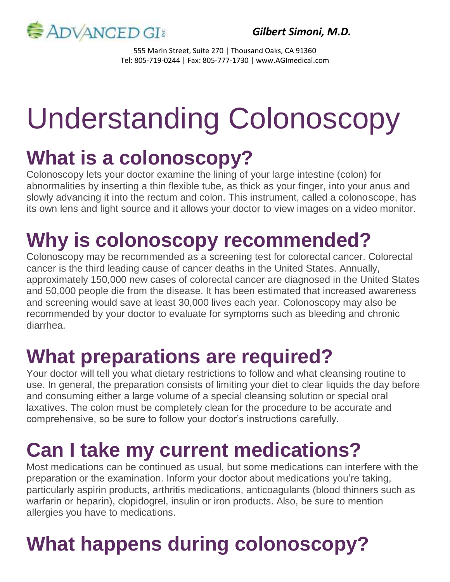

*Gilbert Simoni, M.D.*

555 Marin Street, Suite 270 | Thousand Oaks, CA 91360 Tel: 805-719-0244 | Fax: 805-777-1730 | www.AGImedical.com

# Understanding Colonoscopy

#### **What is a colonoscopy?**

Colonoscopy lets your doctor examine the lining of your large intestine (colon) for abnormalities by inserting a thin flexible tube, as thick as your finger, into your anus and slowly advancing it into the rectum and colon. This instrument, called a colonoscope, has its own lens and light source and it allows your doctor to view images on a video monitor.

# **Why is colonoscopy recommended?**

Colonoscopy may be recommended as a screening test for colorectal cancer. Colorectal cancer is the third leading cause of cancer deaths in the United States. Annually, approximately 150,000 new cases of colorectal cancer are diagnosed in the United States and 50,000 people die from the disease. It has been estimated that increased awareness and screening would save at least 30,000 lives each year. Colonoscopy may also be recommended by your doctor to evaluate for symptoms such as bleeding and chronic diarrhea.

## **What preparations are required?**

Your doctor will tell you what dietary restrictions to follow and what cleansing routine to use. In general, the preparation consists of limiting your diet to clear liquids the day before and consuming either a large volume of a special cleansing solution or special oral laxatives. The colon must be completely clean for the procedure to be accurate and comprehensive, so be sure to follow your doctor's instructions carefully.

## **Can I take my current medications?**

Most medications can be continued as usual, but some medications can interfere with the preparation or the examination. Inform your doctor about medications you're taking, particularly aspirin products, arthritis medications, anticoagulants (blood thinners such as warfarin or heparin), clopidogrel, insulin or iron products. Also, be sure to mention allergies you have to medications.

# **What happens during colonoscopy?**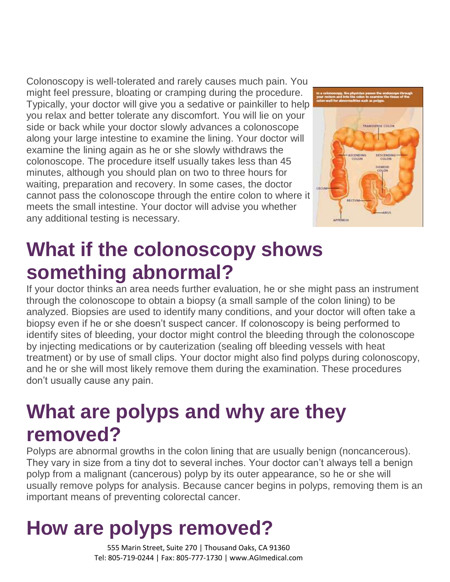Colonoscopy is well-tolerated and rarely causes much pain. You might feel pressure, bloating or cramping during the procedure. Typically, your doctor will give you a sedative or painkiller to help you relax and better tolerate any discomfort. You will lie on your side or back while your doctor slowly advances a colonoscope along your large intestine to examine the lining. Your doctor will examine the lining again as he or she slowly withdraws the colonoscope. The procedure itself usually takes less than 45 minutes, although you should plan on two to three hours for waiting, preparation and recovery. In some cases, the doctor cannot pass the colonoscope through the entire colon to where it meets the small intestine. Your doctor will advise you whether any additional testing is necessary.



#### **What if the colonoscopy shows something abnormal?**

If your doctor thinks an area needs further evaluation, he or she might pass an instrument through the colonoscope to obtain a biopsy (a small sample of the colon lining) to be analyzed. Biopsies are used to identify many conditions, and your doctor will often take a biopsy even if he or she doesn't suspect cancer. If colonoscopy is being performed to identify sites of bleeding, your doctor might control the bleeding through the colonoscope by injecting medications or by cauterization (sealing off bleeding vessels with heat treatment) or by use of small clips. Your doctor might also find polyps during colonoscopy, and he or she will most likely remove them during the examination. These procedures don't usually cause any pain.

#### **What are polyps and why are they removed?**

Polyps are abnormal growths in the colon lining that are usually benign (noncancerous). They vary in size from a tiny dot to several inches. Your doctor can't always tell a benign polyp from a malignant (cancerous) polyp by its outer appearance, so he or she will usually remove polyps for analysis. Because cancer begins in polyps, removing them is an important means of preventing colorectal cancer.

# **How are polyps removed?**

555 Marin Street, Suite 270 | Thousand Oaks, CA 91360 Tel: 805-719-0244 | Fax: 805-777-1730 | www.AGImedical.com